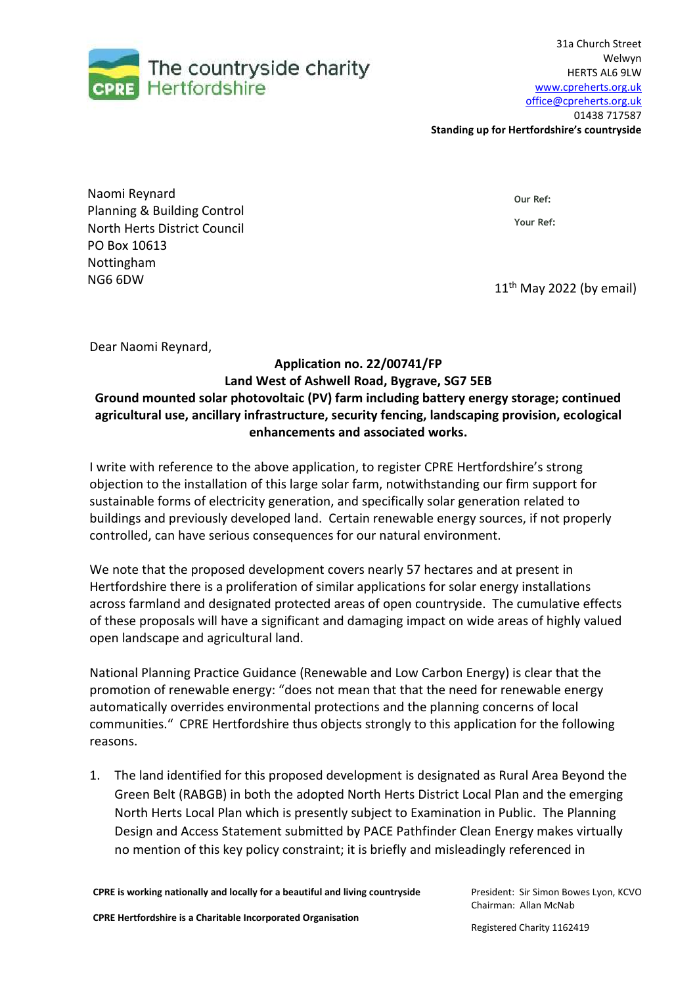

**Standing up for Hertfordshire's countryside**

Naomi Reynard Planning & Building Control North Herts District Council PO Box 10613 Nottingham  $N$ G6 6DW 11<sup>th</sup> May 2022 (by email)

**Our Ref:**

**Your Ref:** 

Dear Naomi Reynard,

## **Application no. 22/00741/FP Land West of Ashwell Road, Bygrave, SG7 5EB Ground mounted solar photovoltaic (PV) farm including battery energy storage; continued agricultural use, ancillary infrastructure, security fencing, landscaping provision, ecological enhancements and associated works.**

I write with reference to the above application, to register CPRE Hertfordshire's strong objection to the installation of this large solar farm, notwithstanding our firm support for sustainable forms of electricity generation, and specifically solar generation related to buildings and previously developed land. Certain renewable energy sources, if not properly controlled, can have serious consequences for our natural environment.

We note that the proposed development covers nearly 57 hectares and at present in Hertfordshire there is a proliferation of similar applications for solar energy installations across farmland and designated protected areas of open countryside. The cumulative effects of these proposals will have a significant and damaging impact on wide areas of highly valued open landscape and agricultural land.

National Planning Practice Guidance (Renewable and Low Carbon Energy) is clear that the promotion of renewable energy: "does not mean that that the need for renewable energy automatically overrides environmental protections and the planning concerns of local communities." CPRE Hertfordshire thus objects strongly to this application for the following reasons.

1. The land identified for this proposed development is designated as Rural Area Beyond the Green Belt (RABGB) in both the adopted North Herts District Local Plan and the emerging North Herts Local Plan which is presently subject to Examination in Public. The Planning Design and Access Statement submitted by PACE Pathfinder Clean Energy makes virtually no mention of this key policy constraint; it is briefly and misleadingly referenced in

**CPRE is working nationally and locally for a beautiful and living countryside**

**CPRE Hertfordshire is a Charitable Incorporated Organisation**

President: Sir Simon Bowes Lyon, KCVO Chairman: Allan McNab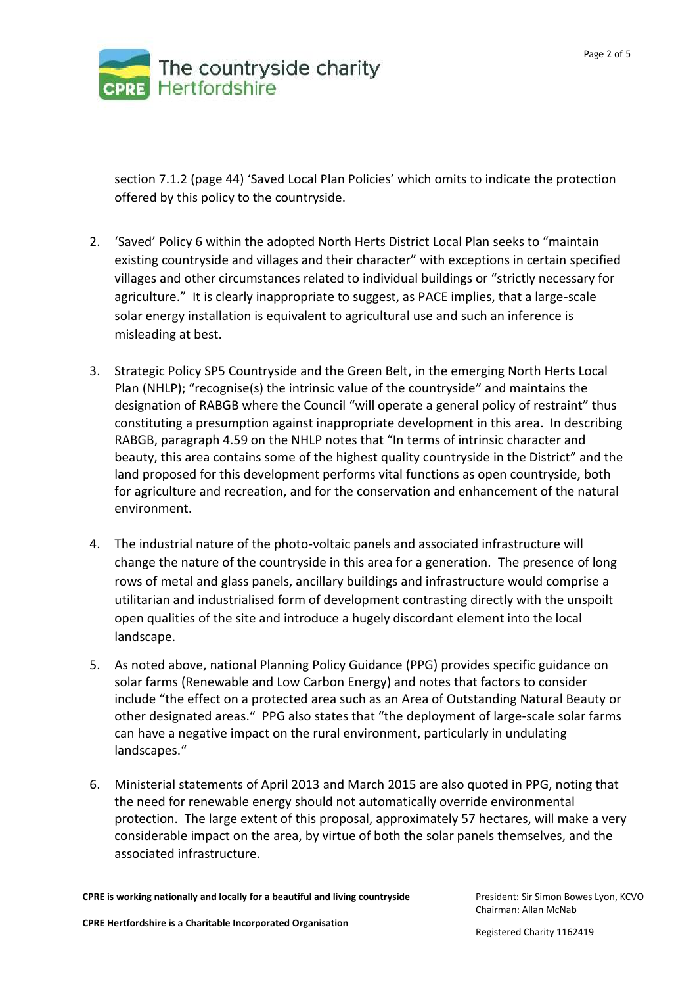

section 7.1.2 (page 44) 'Saved Local Plan Policies' which omits to indicate the protection offered by this policy to the countryside.

- 2. 'Saved' Policy 6 within the adopted North Herts District Local Plan seeks to "maintain existing countryside and villages and their character" with exceptions in certain specified villages and other circumstances related to individual buildings or "strictly necessary for agriculture." It is clearly inappropriate to suggest, as PACE implies, that a large-scale solar energy installation is equivalent to agricultural use and such an inference is misleading at best.
- 3. Strategic Policy SP5 Countryside and the Green Belt, in the emerging North Herts Local Plan (NHLP); "recognise(s) the intrinsic value of the countryside" and maintains the designation of RABGB where the Council "will operate a general policy of restraint" thus constituting a presumption against inappropriate development in this area. In describing RABGB, paragraph 4.59 on the NHLP notes that "In terms of intrinsic character and beauty, this area contains some of the highest quality countryside in the District" and the land proposed for this development performs vital functions as open countryside, both for agriculture and recreation, and for the conservation and enhancement of the natural environment.
- 4. The industrial nature of the photo-voltaic panels and associated infrastructure will change the nature of the countryside in this area for a generation. The presence of long rows of metal and glass panels, ancillary buildings and infrastructure would comprise a utilitarian and industrialised form of development contrasting directly with the unspoilt open qualities of the site and introduce a hugely discordant element into the local landscape.
- 5. As noted above, national Planning Policy Guidance (PPG) provides specific guidance on solar farms (Renewable and Low Carbon Energy) and notes that factors to consider include "the effect on a protected area such as an Area of Outstanding Natural Beauty or other designated areas." PPG also states that "the deployment of large-scale solar farms can have a negative impact on the rural environment, particularly in undulating landscapes."
- 6. Ministerial statements of April 2013 and March 2015 are also quoted in PPG, noting that the need for renewable energy should not automatically override environmental protection. The large extent of this proposal, approximately 57 hectares, will make a very considerable impact on the area, by virtue of both the solar panels themselves, and the associated infrastructure.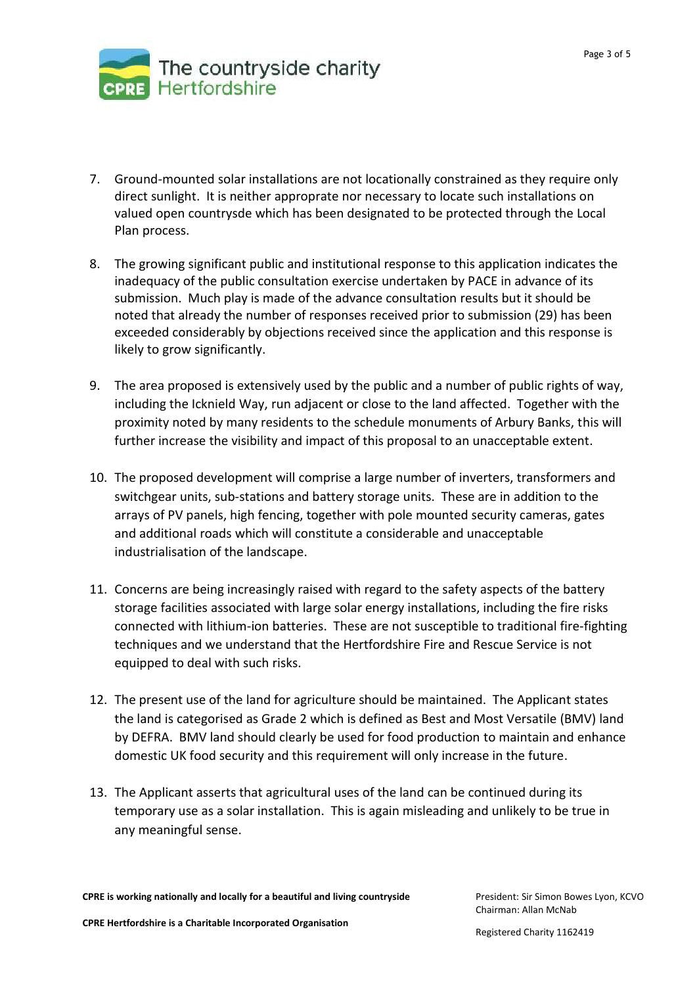

- 7. Ground-mounted solar installations are not locationally constrained as they require only direct sunlight. It is neither approprate nor necessary to locate such installations on valued open countrysde which has been designated to be protected through the Local Plan process.
- 8. The growing significant public and institutional response to this application indicates the inadequacy of the public consultation exercise undertaken by PACE in advance of its submission. Much play is made of the advance consultation results but it should be noted that already the number of responses received prior to submission (29) has been exceeded considerably by objections received since the application and this response is likely to grow significantly.
- 9. The area proposed is extensively used by the public and a number of public rights of way, including the Icknield Way, run adjacent or close to the land affected. Together with the proximity noted by many residents to the schedule monuments of Arbury Banks, this will further increase the visibility and impact of this proposal to an unacceptable extent.
- 10. The proposed development will comprise a large number of inverters, transformers and switchgear units, sub-stations and battery storage units. These are in addition to the arrays of PV panels, high fencing, together with pole mounted security cameras, gates and additional roads which will constitute a considerable and unacceptable industrialisation of the landscape.
- 11. Concerns are being increasingly raised with regard to the safety aspects of the battery storage facilities associated with large solar energy installations, including the fire risks connected with lithium-ion batteries. These are not susceptible to traditional fire-fighting techniques and we understand that the Hertfordshire Fire and Rescue Service is not equipped to deal with such risks.
- 12. The present use of the land for agriculture should be maintained. The Applicant states the land is categorised as Grade 2 which is defined as Best and Most Versatile (BMV) land by DEFRA. BMV land should clearly be used for food production to maintain and enhance domestic UK food security and this requirement will only increase in the future.
- 13. The Applicant asserts that agricultural uses of the land can be continued during its temporary use as a solar installation. This is again misleading and unlikely to be true in any meaningful sense.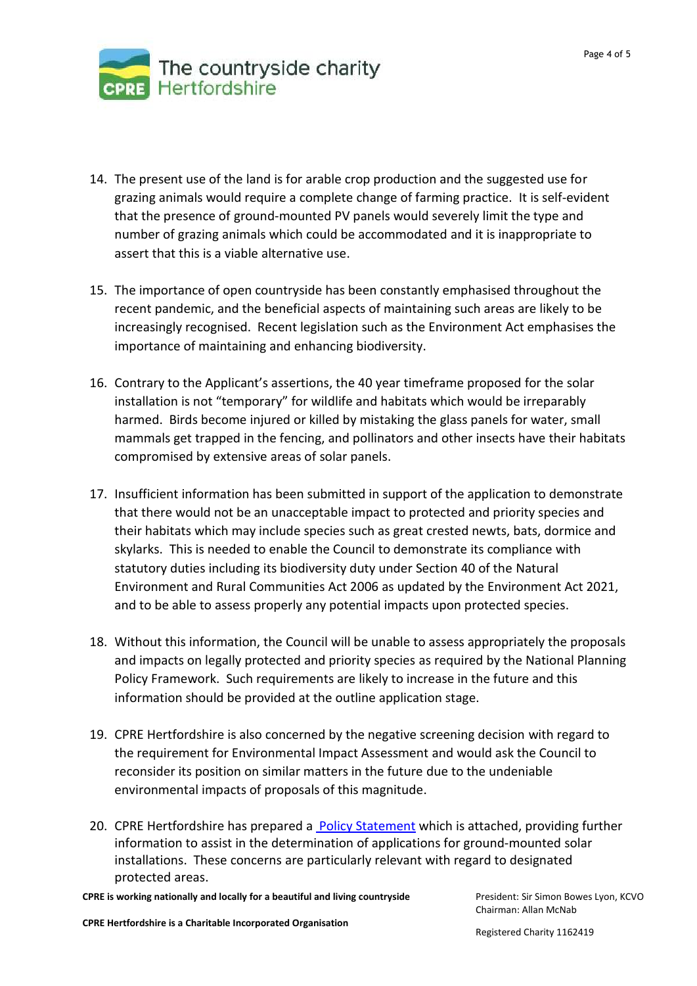

- 14. The present use of the land is for arable crop production and the suggested use for grazing animals would require a complete change of farming practice. It is self-evident that the presence of ground-mounted PV panels would severely limit the type and number of grazing animals which could be accommodated and it is inappropriate to assert that this is a viable alternative use.
- 15. The importance of open countryside has been constantly emphasised throughout the recent pandemic, and the beneficial aspects of maintaining such areas are likely to be increasingly recognised. Recent legislation such as the Environment Act emphasises the importance of maintaining and enhancing biodiversity.
- 16. Contrary to the Applicant's assertions, the 40 year timeframe proposed for the solar installation is not "temporary" for wildlife and habitats which would be irreparably harmed. Birds become injured or killed by mistaking the glass panels for water, small mammals get trapped in the fencing, and pollinators and other insects have their habitats compromised by extensive areas of solar panels.
- 17. Insufficient information has been submitted in support of the application to demonstrate that there would not be an unacceptable impact to protected and priority species and their habitats which may include species such as great crested newts, bats, dormice and skylarks. This is needed to enable the Council to demonstrate its compliance with statutory duties including its biodiversity duty under Section 40 of the Natural Environment and Rural Communities Act 2006 as updated by the Environment Act 2021, and to be able to assess properly any potential impacts upon protected species.
- 18. Without this information, the Council will be unable to assess appropriately the proposals and impacts on legally protected and priority species as required by the National Planning Policy Framework. Such requirements are likely to increase in the future and this information should be provided at the outline application stage.
- 19. CPRE Hertfordshire is also concerned by the negative screening decision with regard to the requirement for Environmental Impact Assessment and would ask the Council to reconsider its position on similar matters in the future due to the undeniable environmental impacts of proposals of this magnitude.
- 20. CPRE Hertfordshire has prepared a Policy [Statement](https://www.cpreherts.org.uk/news/our-policy-statement-on-solar-energy-installations-in-the-countryside/) which is attached, providing further information to assist in the determination of applications for ground-mounted solar installations. These concerns are particularly relevant with regard to designated protected areas.

**CPRE is working nationally and locally for a beautiful and living countryside**